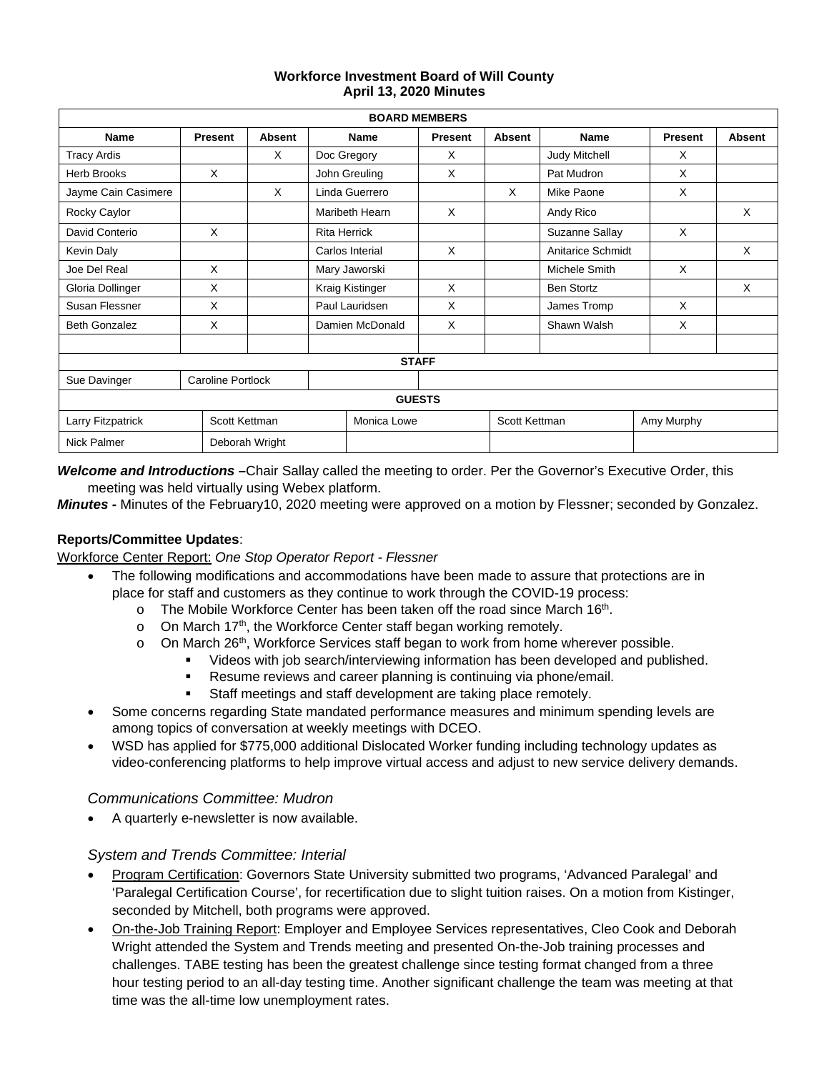#### **Workforce Investment Board of Will County April 13, 2020 Minutes**

| <b>BOARD MEMBERS</b>                     |                |                     |                 |                |                |               |                   |            |               |
|------------------------------------------|----------------|---------------------|-----------------|----------------|----------------|---------------|-------------------|------------|---------------|
| <b>Name</b>                              | <b>Present</b> | <b>Absent</b>       | <b>Name</b>     |                | <b>Present</b> | <b>Absent</b> | <b>Name</b>       | Present    | <b>Absent</b> |
| <b>Tracy Ardis</b>                       |                | X                   |                 | Doc Gregory    | X              |               | Judy Mitchell     | X          |               |
| <b>Herb Brooks</b>                       | X              |                     |                 | John Greuling  | X              |               | Pat Mudron        | X          |               |
| Jayme Cain Casimere                      |                | X                   |                 | Linda Guerrero |                | X             | Mike Paone        | X          |               |
| Rocky Caylor                             |                |                     |                 | Maribeth Hearn | X              |               | Andy Rico         |            | X             |
| David Conterio                           | X              | <b>Rita Herrick</b> |                 |                |                |               | Suzanne Sallay    | X          |               |
| Kevin Daly                               |                |                     | Carlos Interial |                | $\times$       |               | Anitarice Schmidt |            | X             |
| Joe Del Real                             | X              | Mary Jaworski       |                 |                |                |               | Michele Smith     | X          |               |
| Gloria Dollinger                         | X              |                     | Kraig Kistinger |                | X              |               | <b>Ben Stortz</b> |            | X             |
| Susan Flessner                           | X              |                     | Paul Lauridsen  |                | X              |               | James Tromp       | X          |               |
| <b>Beth Gonzalez</b>                     | X              |                     | Damien McDonald |                | $\times$       |               | Shawn Walsh       | X          |               |
|                                          |                |                     |                 |                |                |               |                   |            |               |
| <b>STAFF</b>                             |                |                     |                 |                |                |               |                   |            |               |
| <b>Caroline Portlock</b><br>Sue Davinger |                |                     |                 |                |                |               |                   |            |               |
|                                          |                |                     |                 |                | <b>GUESTS</b>  |               |                   |            |               |
| Larry Fitzpatrick                        |                | Scott Kettman       |                 | Monica Lowe    |                | Scott Kettman |                   | Amy Murphy |               |
| <b>Nick Palmer</b><br>Deborah Wright     |                |                     |                 |                |                |               |                   |            |               |

*Welcome and Introductions –*Chair Sallay called the meeting to order. Per the Governor's Executive Order, this meeting was held virtually using Webex platform.

*Minutes -* Minutes of the February10, 2020 meeting were approved on a motion by Flessner; seconded by Gonzalez.

### **Reports/Committee Updates**:

Workforce Center Report: *One Stop Operator Report - Flessner*

- The following modifications and accommodations have been made to assure that protections are in place for staff and customers as they continue to work through the COVID-19 process:
	- $\circ$  The Mobile Workforce Center has been taken off the road since March 16<sup>th</sup>.
	- $\circ$  On March 17<sup>th</sup>, the Workforce Center staff began working remotely.
	- $\circ$  On March 26<sup>th</sup>, Workforce Services staff began to work from home wherever possible.
		- Videos with job search/interviewing information has been developed and published.
			- Resume reviews and career planning is continuing via phone/email.
			- Staff meetings and staff development are taking place remotely.
	- Some concerns regarding State mandated performance measures and minimum spending levels are among topics of conversation at weekly meetings with DCEO.
- WSD has applied for \$775,000 additional Dislocated Worker funding including technology updates as video-conferencing platforms to help improve virtual access and adjust to new service delivery demands.

#### *Communications Committee: Mudron*

• A quarterly e-newsletter is now available.

#### *System and Trends Committee: Interial*

- Program Certification: Governors State University submitted two programs, 'Advanced Paralegal' and 'Paralegal Certification Course', for recertification due to slight tuition raises. On a motion from Kistinger, seconded by Mitchell, both programs were approved.
- On-the-Job Training Report: Employer and Employee Services representatives, Cleo Cook and Deborah Wright attended the System and Trends meeting and presented On-the-Job training processes and challenges. TABE testing has been the greatest challenge since testing format changed from a three hour testing period to an all-day testing time. Another significant challenge the team was meeting at that time was the all-time low unemployment rates.